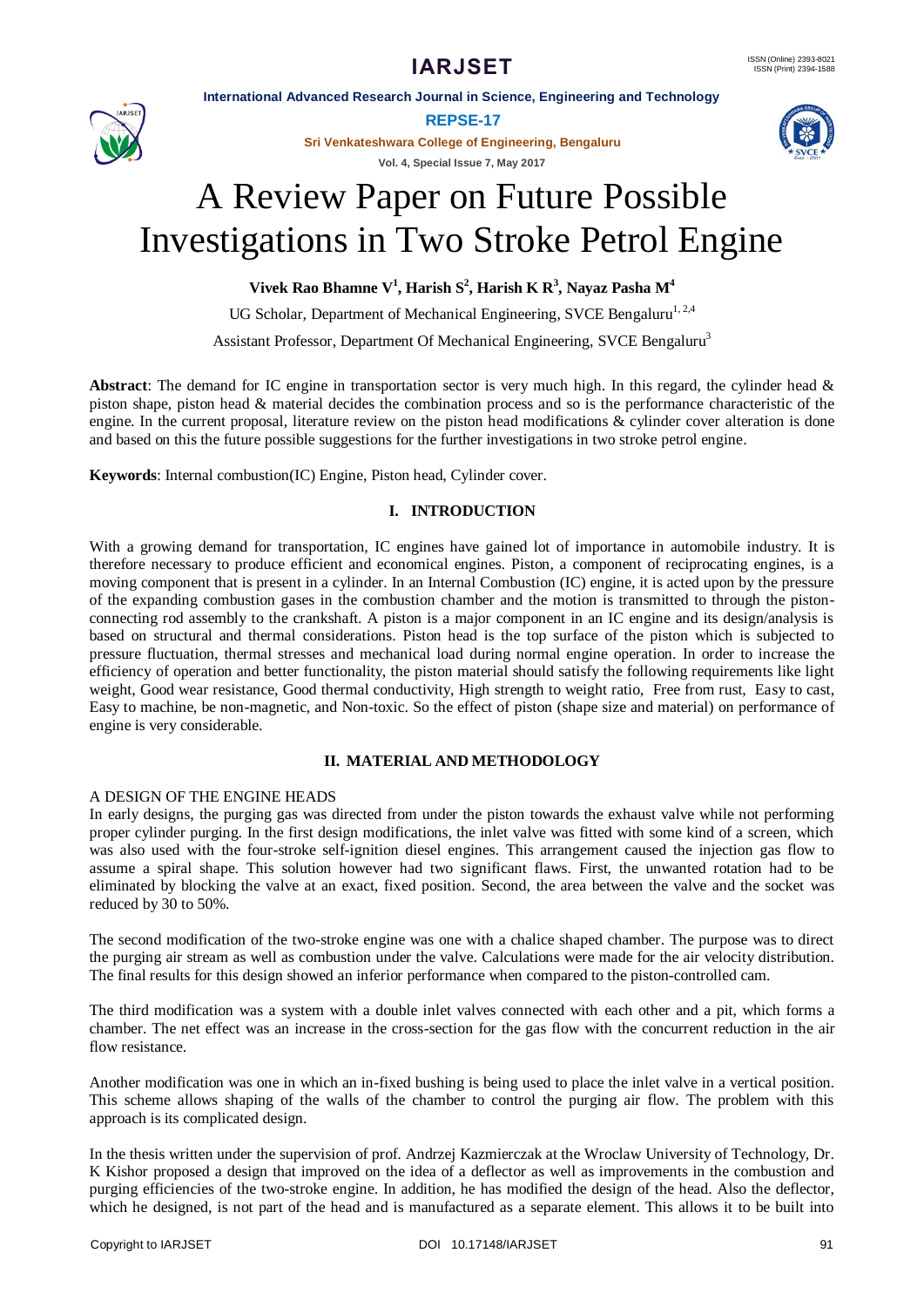**International Advanced Research Journal in Science, Engineering and Technology**



**REPSE-17**

**Sri Venkateshwara College of Engineering, Bengaluru**

**Vol. 4, Special Issue 7, May 2017**



# A Review Paper on Future Possible Investigations in Two Stroke Petrol Engine

**Vivek Rao Bhamne V<sup>1</sup> , Harish S<sup>2</sup> , Harish K R<sup>3</sup> , Nayaz Pasha M<sup>4</sup>**

UG Scholar, Department of Mechanical Engineering, SVCE Bengaluru<sup>1,2,4</sup>

Assistant Professor, Department Of Mechanical Engineering, SVCE Bengaluru<sup>3</sup>

**Abstract**: The demand for IC engine in transportation sector is very much high. In this regard, the cylinder head & piston shape, piston head & material decides the combination process and so is the performance characteristic of the engine. In the current proposal, literature review on the piston head modifications & cylinder cover alteration is done and based on this the future possible suggestions for the further investigations in two stroke petrol engine.

**Keywords**: Internal combustion(IC) Engine, Piston head, Cylinder cover.

# **I. INTRODUCTION**

With a growing demand for transportation, IC engines have gained lot of importance in automobile industry. It is therefore necessary to produce efficient and economical engines. Piston, a component of reciprocating engines, is a moving component that is present in a cylinder. In an Internal Combustion (IC) engine, it is acted upon by the pressure of the expanding combustion gases in the combustion chamber and the motion is transmitted to through the pistonconnecting rod assembly to the crankshaft. A piston is a major component in an IC engine and its design/analysis is based on structural and thermal considerations. Piston head is the top surface of the piston which is subjected to pressure fluctuation, thermal stresses and mechanical load during normal engine operation. In order to increase the efficiency of operation and better functionality, the piston material should satisfy the following requirements like light weight, Good wear resistance, Good thermal conductivity, High strength to weight ratio, Free from rust, Easy to cast, Easy to machine, be non-magnetic, and Non-toxic. So the effect of piston (shape size and material) on performance of engine is very considerable.

# **II. MATERIAL AND METHODOLOGY**

# A DESIGN OF THE ENGINE HEADS

In early designs, the purging gas was directed from under the piston towards the exhaust valve while not performing proper cylinder purging. In the first design modifications, the inlet valve was fitted with some kind of a screen, which was also used with the four-stroke self-ignition diesel engines. This arrangement caused the injection gas flow to assume a spiral shape. This solution however had two significant flaws. First, the unwanted rotation had to be eliminated by blocking the valve at an exact, fixed position. Second, the area between the valve and the socket was reduced by 30 to 50%.

The second modification of the two-stroke engine was one with a chalice shaped chamber. The purpose was to direct the purging air stream as well as combustion under the valve. Calculations were made for the air velocity distribution. The final results for this design showed an inferior performance when compared to the piston-controlled cam.

The third modification was a system with a double inlet valves connected with each other and a pit, which forms a chamber. The net effect was an increase in the cross-section for the gas flow with the concurrent reduction in the air flow resistance.

Another modification was one in which an in-fixed bushing is being used to place the inlet valve in a vertical position. This scheme allows shaping of the walls of the chamber to control the purging air flow. The problem with this approach is its complicated design.

In the thesis written under the supervision of prof. Andrzej Kazmierczak at the Wroclaw University of Technology, Dr. K Kishor proposed a design that improved on the idea of a deflector as well as improvements in the combustion and purging efficiencies of the two-stroke engine. In addition, he has modified the design of the head. Also the deflector, which he designed, is not part of the head and is manufactured as a separate element. This allows it to be built into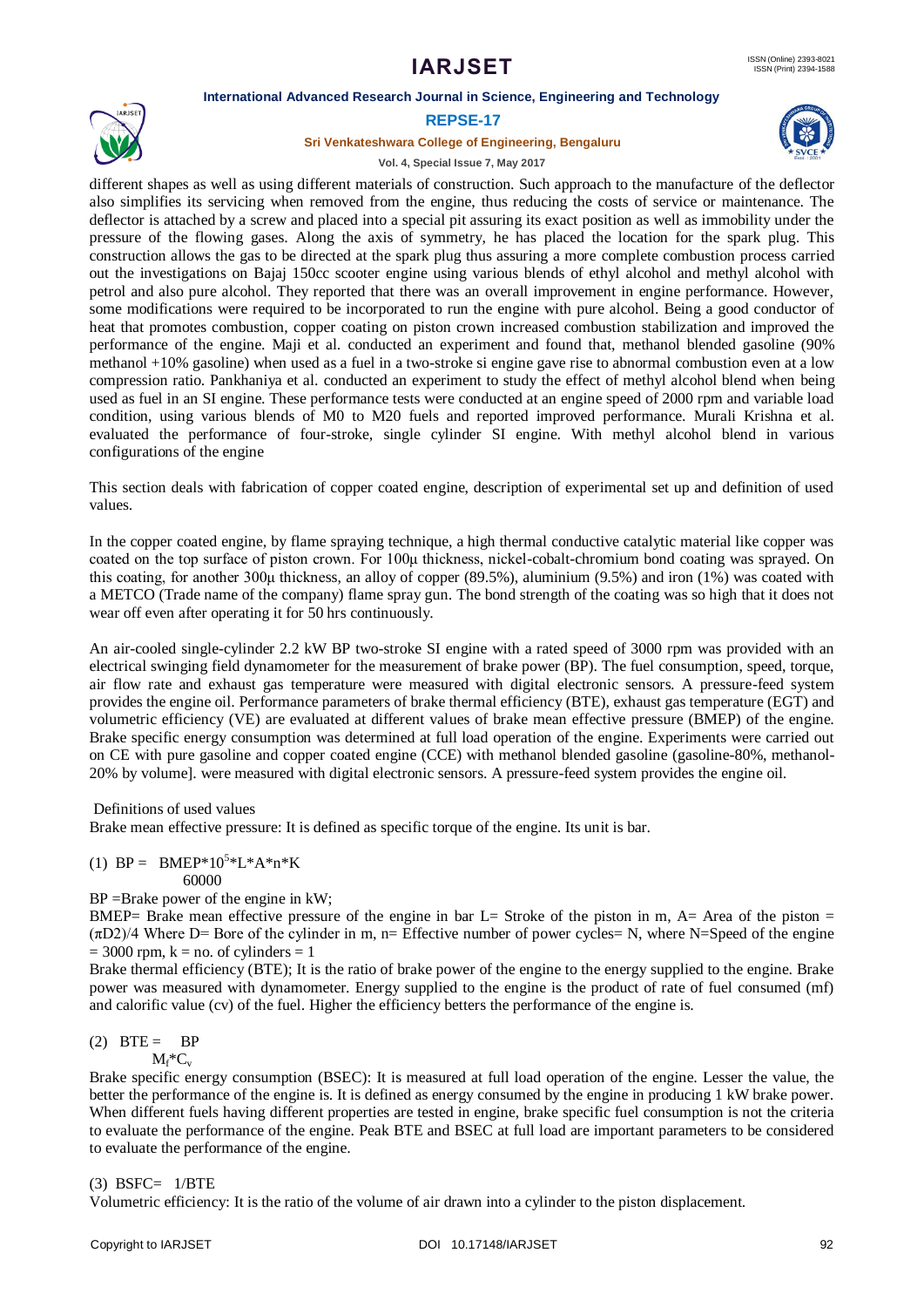# **IARJSET**

#### **International Advanced Research Journal in Science, Engineering and Technology**



#### **REPSE-17**

#### **Sri Venkateshwara College of Engineering, Bengaluru**





different shapes as well as using different materials of construction. Such approach to the manufacture of the deflector also simplifies its servicing when removed from the engine, thus reducing the costs of service or maintenance. The deflector is attached by a screw and placed into a special pit assuring its exact position as well as immobility under the pressure of the flowing gases. Along the axis of symmetry, he has placed the location for the spark plug. This construction allows the gas to be directed at the spark plug thus assuring a more complete combustion process carried out the investigations on Bajaj 150cc scooter engine using various blends of ethyl alcohol and methyl alcohol with petrol and also pure alcohol. They reported that there was an overall improvement in engine performance. However, some modifications were required to be incorporated to run the engine with pure alcohol. Being a good conductor of heat that promotes combustion, copper coating on piston crown increased combustion stabilization and improved the performance of the engine. Maji et al. conducted an experiment and found that, methanol blended gasoline (90% methanol +10% gasoline) when used as a fuel in a two-stroke si engine gave rise to abnormal combustion even at a low compression ratio. Pankhaniya et al. conducted an experiment to study the effect of methyl alcohol blend when being used as fuel in an SI engine. These performance tests were conducted at an engine speed of 2000 rpm and variable load condition, using various blends of M0 to M20 fuels and reported improved performance. Murali Krishna et al. evaluated the performance of four-stroke, single cylinder SI engine. With methyl alcohol blend in various configurations of the engine

This section deals with fabrication of copper coated engine, description of experimental set up and definition of used values.

In the copper coated engine, by flame spraying technique, a high thermal conductive catalytic material like copper was coated on the top surface of piston crown. For 100μ thickness, nickel-cobalt-chromium bond coating was sprayed. On this coating, for another 300μ thickness, an alloy of copper (89.5%), aluminium (9.5%) and iron (1%) was coated with a METCO (Trade name of the company) flame spray gun. The bond strength of the coating was so high that it does not wear off even after operating it for 50 hrs continuously.

An air-cooled single-cylinder 2.2 kW BP two-stroke SI engine with a rated speed of 3000 rpm was provided with an electrical swinging field dynamometer for the measurement of brake power (BP). The fuel consumption, speed, torque, air flow rate and exhaust gas temperature were measured with digital electronic sensors. A pressure-feed system provides the engine oil. Performance parameters of brake thermal efficiency (BTE), exhaust gas temperature (EGT) and volumetric efficiency (VE) are evaluated at different values of brake mean effective pressure (BMEP) of the engine. Brake specific energy consumption was determined at full load operation of the engine. Experiments were carried out on CE with pure gasoline and copper coated engine (CCE) with methanol blended gasoline (gasoline-80%, methanol-20% by volume]. were measured with digital electronic sensors. A pressure-feed system provides the engine oil.

Definitions of used values

Brake mean effective pressure: It is defined as specific torque of the engine. Its unit is bar.

(1) BP = 
$$
BMEP*105*L*A*n*K
$$
  
60000

BP =Brake power of the engine in kW;

BMEP= Brake mean effective pressure of the engine in bar  $L=$  Stroke of the piston in m, A= Area of the piston =  $(\pi D2)/4$  Where D= Bore of the cylinder in m, n= Effective number of power cycles= N, where N=Speed of the engine  $= 3000$  rpm,  $k = no$ . of cylinders  $= 1$ 

Brake thermal efficiency (BTE); It is the ratio of brake power of the engine to the energy supplied to the engine. Brake power was measured with dynamometer. Energy supplied to the engine is the product of rate of fuel consumed (mf) and calorific value (cv) of the fuel. Higher the efficiency betters the performance of the engine is.

# $(2)$  BTE = BP

$$
M_f^{\ast}C_v\\
$$

Brake specific energy consumption (BSEC): It is measured at full load operation of the engine. Lesser the value, the better the performance of the engine is. It is defined as energy consumed by the engine in producing 1 kW brake power. When different fuels having different properties are tested in engine, brake specific fuel consumption is not the criteria to evaluate the performance of the engine. Peak BTE and BSEC at full load are important parameters to be considered to evaluate the performance of the engine.

## $(3)$  BSFC=  $1/BTE$

Volumetric efficiency: It is the ratio of the volume of air drawn into a cylinder to the piston displacement.